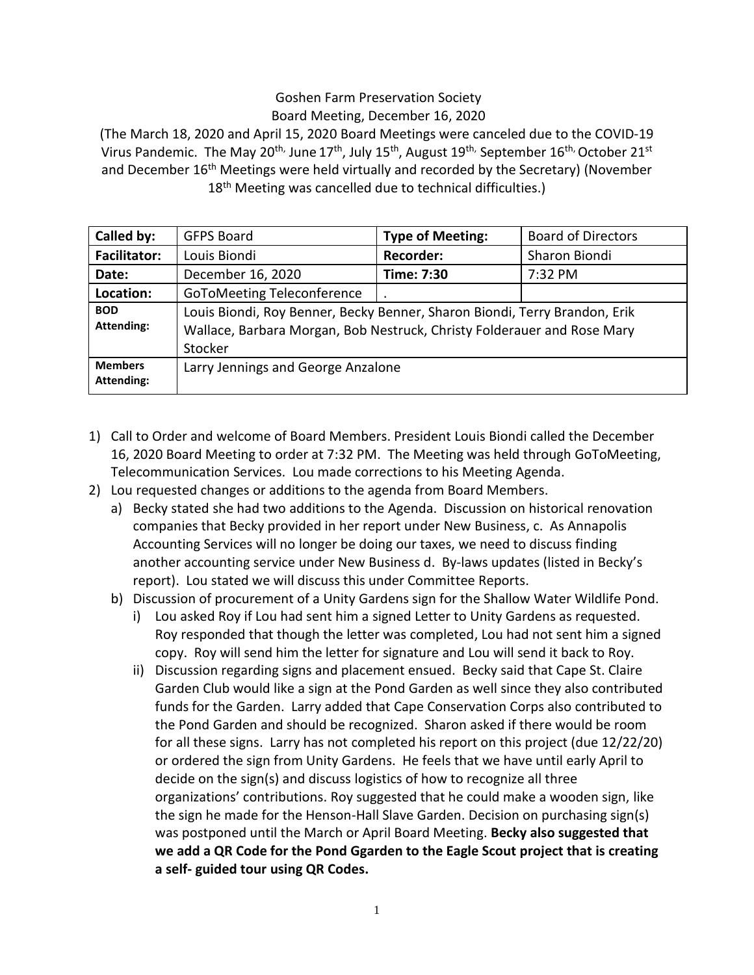## Goshen Farm Preservation Society Board Meeting, December 16, 2020

(The March 18, 2020 and April 15, 2020 Board Meetings were canceled due to the COVID-19 Virus Pandemic. The May 20<sup>th,</sup> June 17<sup>th</sup>, July 15<sup>th</sup>, August 19<sup>th,</sup> September 16<sup>th,</sup> October 21<sup>st</sup> and December 16<sup>th</sup> Meetings were held virtually and recorded by the Secretary) (November 18<sup>th</sup> Meeting was cancelled due to technical difficulties.)

| Called by:                          | <b>GFPS Board</b>                                                                                                                                                | <b>Type of Meeting:</b> | <b>Board of Directors</b> |
|-------------------------------------|------------------------------------------------------------------------------------------------------------------------------------------------------------------|-------------------------|---------------------------|
| <b>Facilitator:</b>                 | Louis Biondi                                                                                                                                                     | <b>Recorder:</b>        | Sharon Biondi             |
| Date:                               | December 16, 2020                                                                                                                                                | Time: 7:30              | 7:32 PM                   |
| Location:                           | GoToMeeting Teleconference                                                                                                                                       |                         |                           |
| <b>BOD</b><br><b>Attending:</b>     | Louis Biondi, Roy Benner, Becky Benner, Sharon Biondi, Terry Brandon, Erik<br>Wallace, Barbara Morgan, Bob Nestruck, Christy Folderauer and Rose Mary<br>Stocker |                         |                           |
| <b>Members</b><br><b>Attending:</b> | Larry Jennings and George Anzalone                                                                                                                               |                         |                           |

- 1) Call to Order and welcome of Board Members. President Louis Biondi called the December 16, 2020 Board Meeting to order at 7:32 PM. The Meeting was held through GoToMeeting, Telecommunication Services. Lou made corrections to his Meeting Agenda.
- 2) Lou requested changes or additions to the agenda from Board Members.
	- a) Becky stated she had two additions to the Agenda. Discussion on historical renovation companies that Becky provided in her report under New Business, c. As Annapolis Accounting Services will no longer be doing our taxes, we need to discuss finding another accounting service under New Business d. By-laws updates (listed in Becky's report). Lou stated we will discuss this under Committee Reports.
	- b) Discussion of procurement of a Unity Gardens sign for the Shallow Water Wildlife Pond.
		- i) Lou asked Roy if Lou had sent him a signed Letter to Unity Gardens as requested. Roy responded that though the letter was completed, Lou had not sent him a signed copy. Roy will send him the letter for signature and Lou will send it back to Roy.
		- ii) Discussion regarding signs and placement ensued. Becky said that Cape St. Claire Garden Club would like a sign at the Pond Garden as well since they also contributed funds for the Garden. Larry added that Cape Conservation Corps also contributed to the Pond Garden and should be recognized. Sharon asked if there would be room for all these signs. Larry has not completed his report on this project (due 12/22/20) or ordered the sign from Unity Gardens. He feels that we have until early April to decide on the sign(s) and discuss logistics of how to recognize all three organizations' contributions. Roy suggested that he could make a wooden sign, like the sign he made for the Henson-Hall Slave Garden. Decision on purchasing sign(s) was postponed until the March or April Board Meeting. **Becky also suggested that we add a QR Code for the Pond Ggarden to the Eagle Scout project that is creating a self- guided tour using QR Codes.**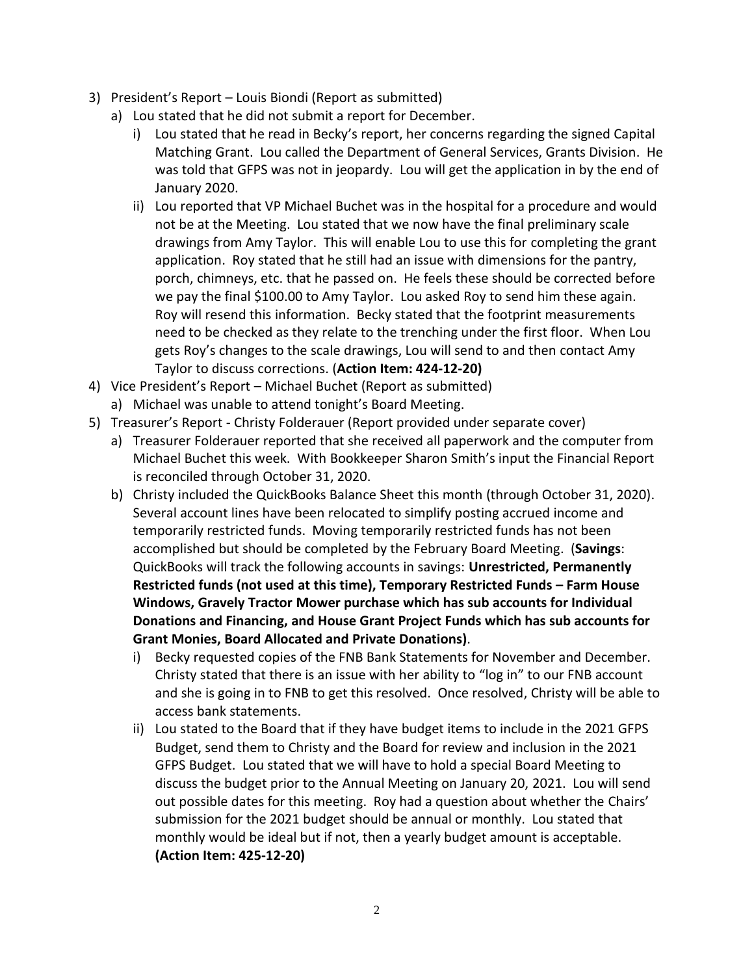- 3) President's Report Louis Biondi (Report as submitted)
	- a) Lou stated that he did not submit a report for December.
		- i) Lou stated that he read in Becky's report, her concerns regarding the signed Capital Matching Grant. Lou called the Department of General Services, Grants Division. He was told that GFPS was not in jeopardy. Lou will get the application in by the end of January 2020.
		- ii) Lou reported that VP Michael Buchet was in the hospital for a procedure and would not be at the Meeting. Lou stated that we now have the final preliminary scale drawings from Amy Taylor. This will enable Lou to use this for completing the grant application. Roy stated that he still had an issue with dimensions for the pantry, porch, chimneys, etc. that he passed on. He feels these should be corrected before we pay the final \$100.00 to Amy Taylor. Lou asked Roy to send him these again. Roy will resend this information. Becky stated that the footprint measurements need to be checked as they relate to the trenching under the first floor. When Lou gets Roy's changes to the scale drawings, Lou will send to and then contact Amy Taylor to discuss corrections. (**Action Item: 424-12-20)**
- 4) Vice President's Report Michael Buchet (Report as submitted) a) Michael was unable to attend tonight's Board Meeting.
- 5) Treasurer's Report Christy Folderauer (Report provided under separate cover)
	- a) Treasurer Folderauer reported that she received all paperwork and the computer from Michael Buchet this week. With Bookkeeper Sharon Smith's input the Financial Report is reconciled through October 31, 2020.
	- b) Christy included the QuickBooks Balance Sheet this month (through October 31, 2020). Several account lines have been relocated to simplify posting accrued income and temporarily restricted funds. Moving temporarily restricted funds has not been accomplished but should be completed by the February Board Meeting. (**Savings**: QuickBooks will track the following accounts in savings: **Unrestricted, Permanently Restricted funds (not used at this time), Temporary Restricted Funds – Farm House Windows, Gravely Tractor Mower purchase which has sub accounts for Individual Donations and Financing, and House Grant Project Funds which has sub accounts for Grant Monies, Board Allocated and Private Donations)**.
		- i) Becky requested copies of the FNB Bank Statements for November and December. Christy stated that there is an issue with her ability to "log in" to our FNB account and she is going in to FNB to get this resolved. Once resolved, Christy will be able to access bank statements.
		- ii) Lou stated to the Board that if they have budget items to include in the 2021 GFPS Budget, send them to Christy and the Board for review and inclusion in the 2021 GFPS Budget. Lou stated that we will have to hold a special Board Meeting to discuss the budget prior to the Annual Meeting on January 20, 2021. Lou will send out possible dates for this meeting. Roy had a question about whether the Chairs' submission for the 2021 budget should be annual or monthly. Lou stated that monthly would be ideal but if not, then a yearly budget amount is acceptable. **(Action Item: 425-12-20)**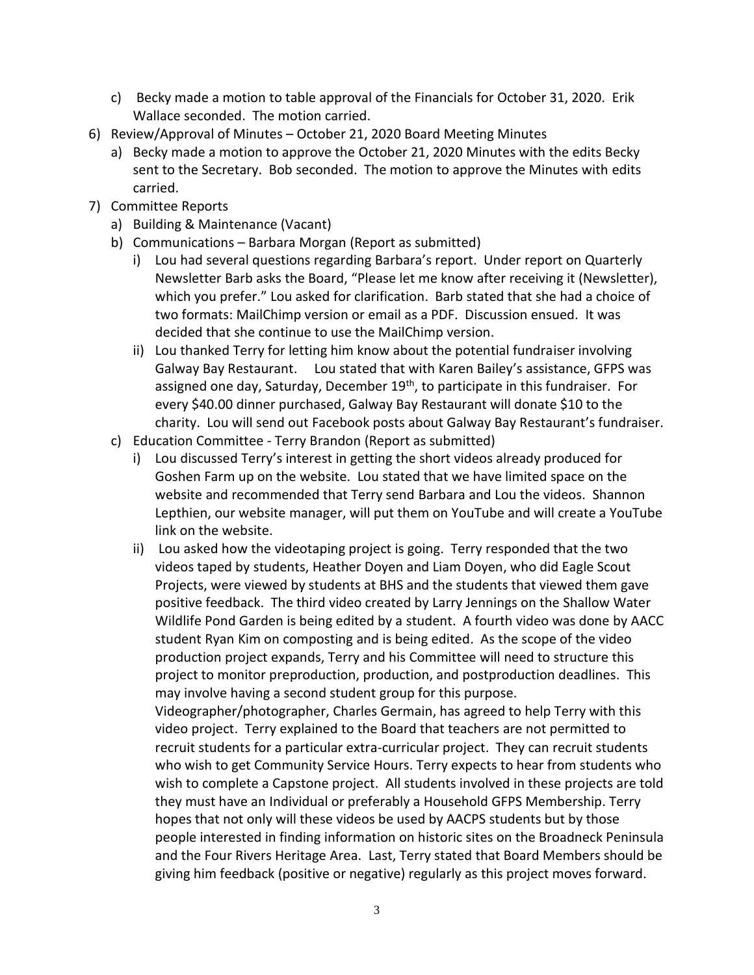- c) Becky made a motion to table approval of the Financials for October 31, 2020. Erik Wallace seconded. The motion carried.
- 6) Review/Approval of Minutes October 21, 2020 Board Meeting Minutes
	- a) Becky made a motion to approve the October 21, 2020 Minutes with the edits Becky sent to the Secretary. Bob seconded. The motion to approve the Minutes with edits carried.
- 7) Committee Reports
	- a) Building & Maintenance (Vacant)
	- b) Communications Barbara Morgan (Report as submitted)
		- i) Lou had several questions regarding Barbara's report. Under report on Quarterly Newsletter Barb asks the Board, "Please let me know after receiving it (Newsletter), which you prefer." Lou asked for clarification. Barb stated that she had a choice of two formats: MailChimp version or email as a PDF. Discussion ensued. It was decided that she continue to use the MailChimp version.
		- ii) Lou thanked Terry for letting him know about the potential fundraiser involving Galway Bay Restaurant. Lou stated that with Karen Bailey's assistance, GFPS was assigned one day, Saturday, December 19<sup>th</sup>, to participate in this fundraiser. For every \$40.00 dinner purchased, Galway Bay Restaurant will donate \$10 to the charity. Lou will send out Facebook posts about Galway Bay Restaurant's fundraiser.
	- c) Education Committee Terry Brandon (Report as submitted)
		- i) Lou discussed Terry's interest in getting the short videos already produced for Goshen Farm up on the website. Lou stated that we have limited space on the website and recommended that Terry send Barbara and Lou the videos. Shannon Lepthien, our website manager, will put them on YouTube and will create a YouTube link on the website.
		- ii) Lou asked how the videotaping project is going. Terry responded that the two videos taped by students, Heather Doyen and Liam Doyen, who did Eagle Scout Projects, were viewed by students at BHS and the students that viewed them gave positive feedback. The third video created by Larry Jennings on the Shallow Water Wildlife Pond Garden is being edited by a student. A fourth video was done by AACC student Ryan Kim on composting and is being edited. As the scope of the video production project expands, Terry and his Committee will need to structure this project to monitor preproduction, production, and postproduction deadlines. This may involve having a second student group for this purpose.

Videographer/photographer, Charles Germain, has agreed to help Terry with this video project. Terry explained to the Board that teachers are not permitted to recruit students for a particular extra-curricular project. They can recruit students who wish to get Community Service Hours. Terry expects to hear from students who wish to complete a Capstone project. All students involved in these projects are told they must have an Individual or preferably a Household GFPS Membership. Terry hopes that not only will these videos be used by AACPS students but by those people interested in finding information on historic sites on the Broadneck Peninsula and the Four Rivers Heritage Area. Last, Terry stated that Board Members should be giving him feedback (positive or negative) regularly as this project moves forward.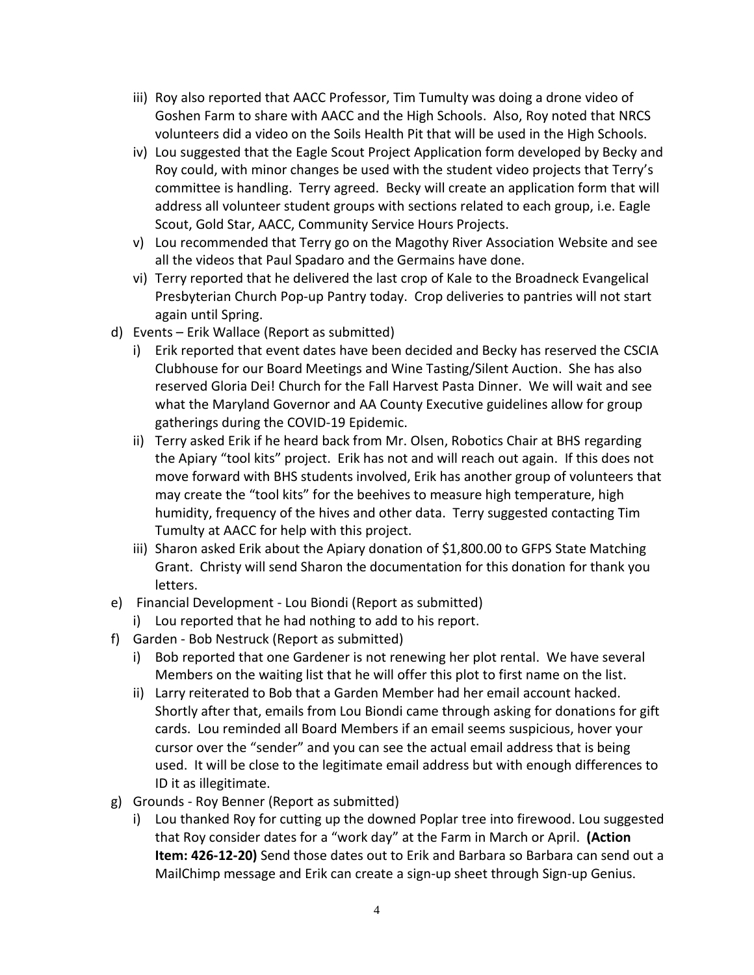- iii) Roy also reported that AACC Professor, Tim Tumulty was doing a drone video of Goshen Farm to share with AACC and the High Schools. Also, Roy noted that NRCS volunteers did a video on the Soils Health Pit that will be used in the High Schools.
- iv) Lou suggested that the Eagle Scout Project Application form developed by Becky and Roy could, with minor changes be used with the student video projects that Terry's committee is handling. Terry agreed. Becky will create an application form that will address all volunteer student groups with sections related to each group, i.e. Eagle Scout, Gold Star, AACC, Community Service Hours Projects.
- v) Lou recommended that Terry go on the Magothy River Association Website and see all the videos that Paul Spadaro and the Germains have done.
- vi) Terry reported that he delivered the last crop of Kale to the Broadneck Evangelical Presbyterian Church Pop-up Pantry today. Crop deliveries to pantries will not start again until Spring.
- d) Events Erik Wallace (Report as submitted)
	- i) Erik reported that event dates have been decided and Becky has reserved the CSCIA Clubhouse for our Board Meetings and Wine Tasting/Silent Auction. She has also reserved Gloria Dei! Church for the Fall Harvest Pasta Dinner. We will wait and see what the Maryland Governor and AA County Executive guidelines allow for group gatherings during the COVID-19 Epidemic.
	- ii) Terry asked Erik if he heard back from Mr. Olsen, Robotics Chair at BHS regarding the Apiary "tool kits" project. Erik has not and will reach out again. If this does not move forward with BHS students involved, Erik has another group of volunteers that may create the "tool kits" for the beehives to measure high temperature, high humidity, frequency of the hives and other data. Terry suggested contacting Tim Tumulty at AACC for help with this project.
	- iii) Sharon asked Erik about the Apiary donation of \$1,800.00 to GFPS State Matching Grant. Christy will send Sharon the documentation for this donation for thank you letters.
- e) Financial Development Lou Biondi (Report as submitted)
	- i) Lou reported that he had nothing to add to his report.
- f) Garden Bob Nestruck (Report as submitted)
	- i) Bob reported that one Gardener is not renewing her plot rental. We have several Members on the waiting list that he will offer this plot to first name on the list.
	- ii) Larry reiterated to Bob that a Garden Member had her email account hacked. Shortly after that, emails from Lou Biondi came through asking for donations for gift cards. Lou reminded all Board Members if an email seems suspicious, hover your cursor over the "sender" and you can see the actual email address that is being used. It will be close to the legitimate email address but with enough differences to ID it as illegitimate.
- g) Grounds Roy Benner (Report as submitted)
	- i) Lou thanked Roy for cutting up the downed Poplar tree into firewood. Lou suggested that Roy consider dates for a "work day" at the Farm in March or April. **(Action Item: 426-12-20)** Send those dates out to Erik and Barbara so Barbara can send out a MailChimp message and Erik can create a sign-up sheet through Sign-up Genius.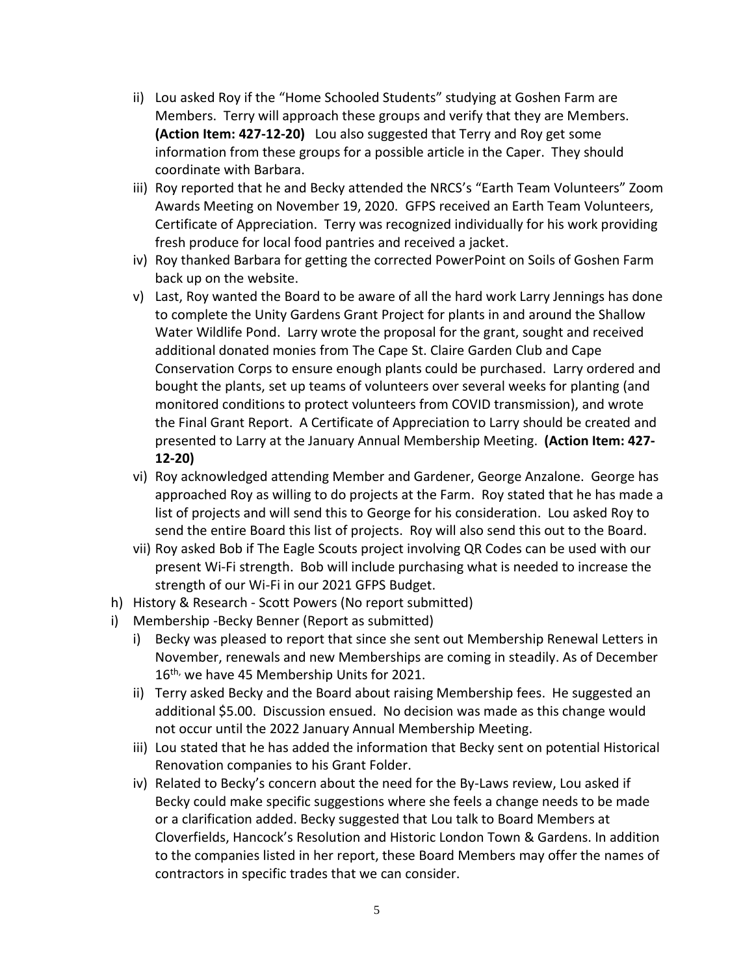- ii) Lou asked Roy if the "Home Schooled Students" studying at Goshen Farm are Members. Terry will approach these groups and verify that they are Members. **(Action Item: 427-12-20)** Lou also suggested that Terry and Roy get some information from these groups for a possible article in the Caper. They should coordinate with Barbara.
- iii) Roy reported that he and Becky attended the NRCS's "Earth Team Volunteers" Zoom Awards Meeting on November 19, 2020. GFPS received an Earth Team Volunteers, Certificate of Appreciation. Terry was recognized individually for his work providing fresh produce for local food pantries and received a jacket.
- iv) Roy thanked Barbara for getting the corrected PowerPoint on Soils of Goshen Farm back up on the website.
- v) Last, Roy wanted the Board to be aware of all the hard work Larry Jennings has done to complete the Unity Gardens Grant Project for plants in and around the Shallow Water Wildlife Pond. Larry wrote the proposal for the grant, sought and received additional donated monies from The Cape St. Claire Garden Club and Cape Conservation Corps to ensure enough plants could be purchased. Larry ordered and bought the plants, set up teams of volunteers over several weeks for planting (and monitored conditions to protect volunteers from COVID transmission), and wrote the Final Grant Report. A Certificate of Appreciation to Larry should be created and presented to Larry at the January Annual Membership Meeting. **(Action Item: 427- 12-20)**
- vi) Roy acknowledged attending Member and Gardener, George Anzalone. George has approached Roy as willing to do projects at the Farm. Roy stated that he has made a list of projects and will send this to George for his consideration. Lou asked Roy to send the entire Board this list of projects. Roy will also send this out to the Board.
- vii) Roy asked Bob if The Eagle Scouts project involving QR Codes can be used with our present Wi-Fi strength. Bob will include purchasing what is needed to increase the strength of our Wi-Fi in our 2021 GFPS Budget.
- h) History & Research Scott Powers (No report submitted)
- i) Membership -Becky Benner (Report as submitted)
	- i) Becky was pleased to report that since she sent out Membership Renewal Letters in November, renewals and new Memberships are coming in steadily. As of December 16<sup>th,</sup> we have 45 Membership Units for 2021.
	- ii) Terry asked Becky and the Board about raising Membership fees. He suggested an additional \$5.00. Discussion ensued. No decision was made as this change would not occur until the 2022 January Annual Membership Meeting.
	- iii) Lou stated that he has added the information that Becky sent on potential Historical Renovation companies to his Grant Folder.
	- iv) Related to Becky's concern about the need for the By-Laws review, Lou asked if Becky could make specific suggestions where she feels a change needs to be made or a clarification added. Becky suggested that Lou talk to Board Members at Cloverfields, Hancock's Resolution and Historic London Town & Gardens. In addition to the companies listed in her report, these Board Members may offer the names of contractors in specific trades that we can consider.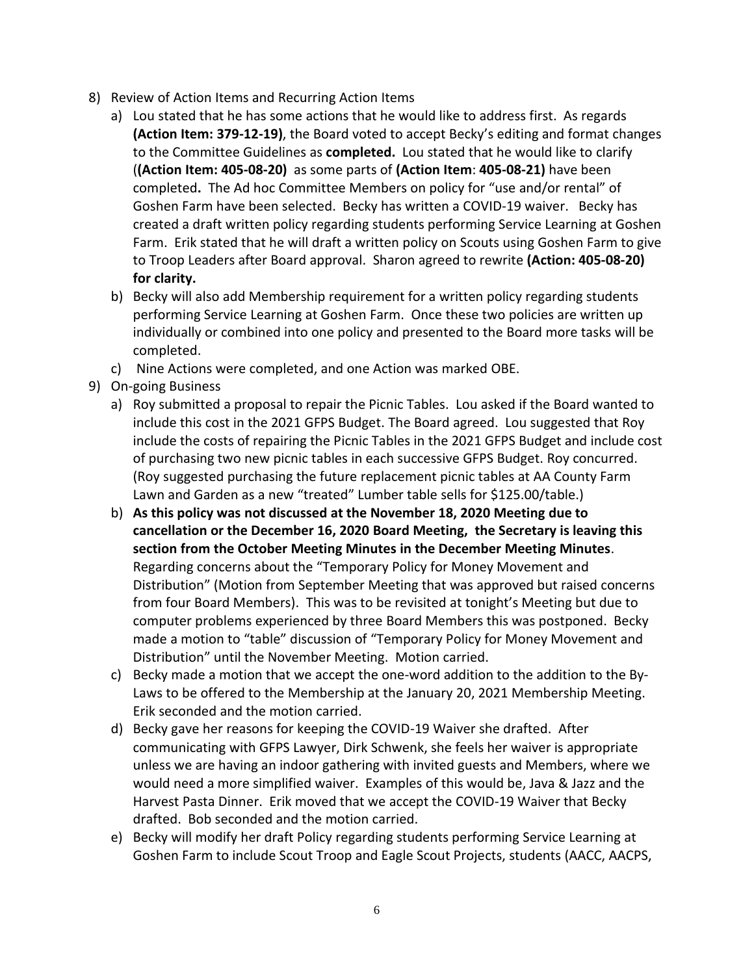- 8) Review of Action Items and Recurring Action Items
	- a) Lou stated that he has some actions that he would like to address first. As regards **(Action Item: 379-12-19)**, the Board voted to accept Becky's editing and format changes to the Committee Guidelines as **completed.** Lou stated that he would like to clarify (**(Action Item: 405-08-20)** as some parts of **(Action Item**: **405-08-21)** have been completed**.** The Ad hoc Committee Members on policy for "use and/or rental" of Goshen Farm have been selected. Becky has written a COVID-19 waiver. Becky has created a draft written policy regarding students performing Service Learning at Goshen Farm. Erik stated that he will draft a written policy on Scouts using Goshen Farm to give to Troop Leaders after Board approval. Sharon agreed to rewrite **(Action: 405-08-20) for clarity.**
	- b) Becky will also add Membership requirement for a written policy regarding students performing Service Learning at Goshen Farm. Once these two policies are written up individually or combined into one policy and presented to the Board more tasks will be completed.
	- c) Nine Actions were completed, and one Action was marked OBE.
- 9) On-going Business
	- a) Roy submitted a proposal to repair the Picnic Tables. Lou asked if the Board wanted to include this cost in the 2021 GFPS Budget. The Board agreed. Lou suggested that Roy include the costs of repairing the Picnic Tables in the 2021 GFPS Budget and include cost of purchasing two new picnic tables in each successive GFPS Budget. Roy concurred. (Roy suggested purchasing the future replacement picnic tables at AA County Farm Lawn and Garden as a new "treated" Lumber table sells for \$125.00/table.)
	- b) **As this policy was not discussed at the November 18, 2020 Meeting due to cancellation or the December 16, 2020 Board Meeting, the Secretary is leaving this section from the October Meeting Minutes in the December Meeting Minutes**. Regarding concerns about the "Temporary Policy for Money Movement and Distribution" (Motion from September Meeting that was approved but raised concerns from four Board Members). This was to be revisited at tonight's Meeting but due to computer problems experienced by three Board Members this was postponed. Becky made a motion to "table" discussion of "Temporary Policy for Money Movement and Distribution" until the November Meeting. Motion carried.
	- c) Becky made a motion that we accept the one-word addition to the addition to the By-Laws to be offered to the Membership at the January 20, 2021 Membership Meeting. Erik seconded and the motion carried.
	- d) Becky gave her reasons for keeping the COVID-19 Waiver she drafted. After communicating with GFPS Lawyer, Dirk Schwenk, she feels her waiver is appropriate unless we are having an indoor gathering with invited guests and Members, where we would need a more simplified waiver. Examples of this would be, Java & Jazz and the Harvest Pasta Dinner. Erik moved that we accept the COVID-19 Waiver that Becky drafted. Bob seconded and the motion carried.
	- e) Becky will modify her draft Policy regarding students performing Service Learning at Goshen Farm to include Scout Troop and Eagle Scout Projects, students (AACC, AACPS,